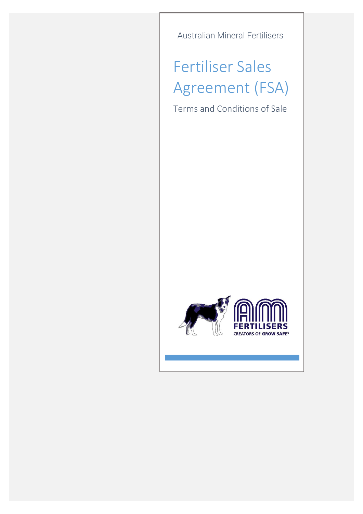Australian Mineral Fertilisers

## Fertiliser Sales Agreement (FSA)

Terms and Conditions of Sale

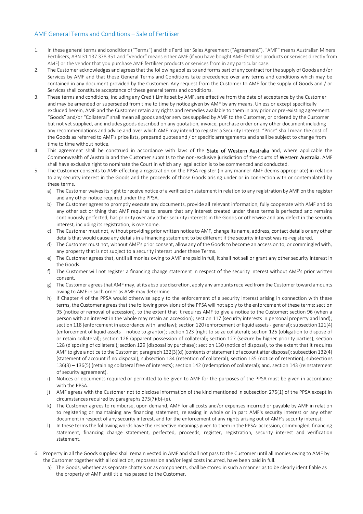## AMF General Terms and Conditions – Sale of Fertiliser

- 1. In these general terms and conditions ("Terms") and this Fertiliser Sales Agreement ("Agreement"), "AMF" means Australian Mineral Fertilisers, ABN 31 137 378 351 and "Vendor" means either AMF (if you have bought AMF fertiliser products or services directly from AMF) or the vendor that you purchase AMF fertiliser products or services from in any particular case.
- 2. The Customer acknowledges and agrees that the following applies to and forms part of any contract for the supply of Goods and/or Services by AMF and that these General Terms and Conditions take precedence over any terms and conditions which may be contained in any document provided by the Customer. Any request from the Customer to AMF for the supply of Goods and / or Services shall constitute acceptance of these general terms and conditions.
- 3. These terms and conditions, including any Credit Limits set by AMF, are effective from the date of acceptance by the Customer and may be amended or superseded from time to time by notice given by AMF by any means. Unless or except specifically excluded herein, AMF and the Customer retain any rights and remedies available to them in any prior or pre-existing agreement. "Goods" and/or "Collateral" shall mean all goods and/or services supplied by AMF to the Customer, or ordered by the Customer but not yet supplied, and includes goods described on any quotation, invoice, purchase order or any other document including any recommendations and advice and over which AMF may intend to register a Security Interest. "Price" shall mean the cost of the Goods as referred to AMF's price lists, prepared quotes and / or specific arrangements and shall be subject to change from time to time without notice.
- 4. This agreement shall be construed in accordance with laws of the State of Western Australia and, where applicable the Commonwealth of Australia and the Customer submits to the non-exclusive jurisdiction of the courts of Western Australia. AMF shall have exclusive right to nominate the Court in which any legal action is to be commenced and conducted.
- 5. The Customer consents to AMF effecting a registration on the PPSA register (in any manner AMF deems appropriate) in relation to any security interest in the Goods and the proceeds of those Goods arising under or in connection with or contemplated by these terms.
	- a) The Customer waives its right to receive notice of a verification statement in relation to any registration by AMF on the register and any other notice required under the PPSA.
	- b) The Customer agrees to promptly execute any documents, provide all relevant information, fully cooperate with AMF and do any other act or thing that AMF requires to ensure that any interest created under these terms is perfected and remains continuously perfected, has priority over any other security interests in the Goods or otherwise and any defect in the security interest, including its registration, is overcome.
	- c) The Customer must not, without providing prior written notice to AMF, change its name, address, contact details or any other details that would cause any details in a financing statement to be different if the security interest was re-registered.
	- d) The Customer must not, without AMF's prior consent, allow any of the Goods to become an accession to, or commingled with, any property that is not subject to a security interest under these Terms.
	- e) The Customer agrees that, until all monies owing to AMF are paid in full, it shall not sell or grant any other security interest in the Goods.
	- f) The Customer will not register a financing change statement in respect of the security interest without AMF's prior written consent.
	- g) The Customer agrees that AMF may, at its absolute discretion, apply any amounts received from the Customer toward amounts owing to AMF in such order as AMF may determine.
	- h) If Chapter 4 of the PPSA would otherwise apply to the enforcement of a security interest arising in connection with these terms, the Customer agrees that the following provisions of the PPSA will not apply to the enforcement of these terms: section 95 (notice of removal of accession), to the extent that it requires AMF to give a notice to the Customer; section 96 (when a person with an interest in the whole may retain an accession); section 117 (security interests in personal property and land); section 118 (enforcement in accordance with land law); section 120 (enforcement of liquid assets - general); subsection 121(4) (enforcement of liquid assets – notice to grantor); section 123 (right to seize collateral); section 125 (obligation to dispose of or retain collateral); section 126 (apparent possession of collateral); section 127 (seizure by higher priority parties); section 128 (disposing of collateral); section 129 (disposal by purchase); section 130 (notice of disposal), to the extent that it requires AMF to give a notice to the Customer; paragraph 132(3)(d) (contents of statement of account after disposal); subsection 132(4) (statement of account if no disposal); subsection 134 (retention of collateral); section 135 (notice of retention); subsections 136(3) – 136(5) (retaining collateral free of interests); section 142 (redemption of collateral); and, section 143 (reinstatement of security agreement).
	- i) Notices or documents required or permitted to be given to AMF for the purposes of the PPSA must be given in accordance with the PPSA
	- j) AMF agrees with the Customer not to disclose information of the kind mentioned in subsection 275(1) of the PPSA except in circumstances required by paragraphs 275(7)(b)-(e).
	- k) The Customer agrees to reimburse, upon demand, AMF for all costs and/or expenses incurred or payable by AMF in relation to registering or maintaining any financing statement, releasing in whole or in part AMF's security interest or any other document in respect of any security interest, and for the enforcement of any rights arising out of AMF's security interest;
	- l) In these terms the following words have the respective meanings given to them in the PPSA: accession, commingled, financing statement, financing change statement, perfected, proceeds, register, registration, security interest and verification statement.
- 6. Property in all the Goods supplied shall remain vested in AMF and shall not pass to the Customer until all monies owing to AMF by the Customer together with all collection, repossession and/or legal costs incurred, have been paid in full.
	- a) The Goods, whether as separate chattels or as components, shall be stored in such a manner as to be clearly identifiable as the property of AMF until title has passed to the Customer.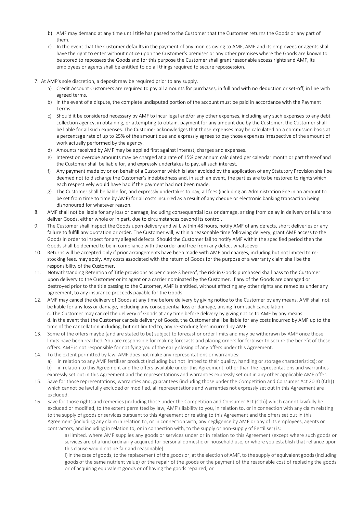- b) AMF may demand at any time until title has passed to the Customer that the Customer returns the Goods or any part of them.
- c) In the event that the Customer defaults in the payment of any monies owing to AMF, AMF and its employees or agents shall have the right to enter without notice upon the Customer's premises or any other premises where the Goods are known to be stored to repossess the Goods and for this purpose the Customer shall grant reasonable access rights and AMF, its employees or agents shall be entitled to do all things required to secure repossession.
- 7. At AMF's sole discretion, a deposit may be required prior to any supply.
	- a) Credit Account Customers are required to pay all amounts for purchases, in full and with no deduction or set-off, in line with agreed terms.
	- b) In the event of a dispute, the complete undisputed portion of the account must be paid in accordance with the Payment Terms.
	- c) Should it be considered necessary by AMF to incur legal and/or any other expenses, including any such expenses to any debt collection agency, in obtaining, or attempting to obtain, payment for any amount due by the Customer, the Customer shall be liable for all such expenses. The Customer acknowledges that those expenses may be calculated on a commission basis at a percentage rate of up to 25% of the amount due and expressly agrees to pay those expenses irrespective of the amount of work actually performed by the agency.
	- d) Amounts received by AMF may be applied first against interest, charges and expenses.
	- e) Interest on overdue amounts may be charged at a rate of 15% per annum calculated per calendar month or part thereof and the Customer shall be liable for, and expressly undertakes to pay, all such interest.
	- f) Any payment made by or on behalf of a Customer which is later avoided by the application of any Statutory Provision shall be deemed not to discharge the Customer's indebtedness and, in such an event, the parties are to be restored to rights which each respectively would have had if the payment had not been made.
	- g) The Customer shall be liable for, and expressly undertakes to pay, all fees (including an Administration Fee in an amount to be set from time to time by AMF) for all costs incurred as a result of any cheque or electronic banking transaction being dishonoured for whatever reason.
- 8. AMF shall not be liable for any loss or damage, including consequential loss or damage, arising from delay in delivery or failure to deliver Goods, either whole or in part, due to circumstances beyond its control.
- 9. The Customer shall inspect the Goods upon delivery and will, within 48 hours, notify AMF of any defects, short deliveries or any failure to fulfill any quotation or order. The Customer will, within a reasonable time following delivery, grant AMF access to the Goods in order to inspect for any alleged defects. Should the Customer fail to notify AMF within the specified period then the Goods shall be deemed to be in compliance with the order and free from any defect whatsoever.
- 10. Returns will be accepted only if prior arrangements have been made with AMF and charges, including but not limited to restocking fees, may apply. Any costs associated with the return of Goods for the purpose of a warranty claim shall be the responsibility of the Customer.
- 11. Notwithstanding Retention of Title provisions as per clause 3 hereof, the risk in Goods purchased shall pass to the Customer upon delivery to the Customer or its agent or a carrier nominated by the Customer. If any of the Goods are damaged or destroyed prior to the title passing to the Customer, AMF is entitled, without affecting any other rights and remedies under any agreement, to any insurance proceeds payable for the Goods.
- 12. AMF may cancel the delivery of Goods at any time before delivery by giving notice to the Customer by any means. AMF shall not be liable for any loss or damage, including any consequential loss or damage, arising from such cancellation. c. The Customer may cancel the delivery of Goods at any time before delivery by giving notice to AMF by any means. d. In the event that the Customer cancels delivery of Goods, the Customer shall be liable for any costs incurred by AMF up to the time of the cancellation including, but not limited to, any re-stocking fees incurred by AMF.
- 13. Some of the offers maybe (and are stated to be) subject to forecast or order limits and may be withdrawn by AMF once those limits have been reached. You are responsible for making forecasts and placing orders for fertiliser to secure the benefit of these offers. AMF is not responsible for notifying you of the early closing of any offers under this Agreement.
- 14. To the extent permitted by law, AMF does not make any representations or warranties: a) in relation to any AMF fertiliser product (including but not limited to their quality, handling or storage characteristics); or b) in relation to this Agreement and the offers available under this Agreement, other than the representations and warranties expressly set out in this Agreement and the representations and warranties expressly set out in any other applicable AMF offer.
- 15. Save for those representations, warranties and, guarantees (including those under the Competition and Consumer Act 2010 (Cth)) which cannot be lawfully excluded or modified, all representations and warranties not expressly set out in this Agreement are excluded.
- 16. Save for those rights and remedies (including those under the Competition and Consumer Act (Cth)) which cannot lawfully be excluded or modified, to the extent permitted by law, AMF's liability to you, in relation to, or in connection with any claim relating to the supply of goods or services pursuant to this Agreement or relating to this Agreement and the offers set out in this Agreement (including any claim in relation to, or in connection with, any negligence by AMF or any of its employees, agents or contractors, and including in relation to, or in connection with, to the supply or non-supply of Fertiliser) is:

a) limited, where AMF supplies any goods or services under or in relation to this Agreement (except where such goods or services are of a kind ordinarily acquired for personal domestic or household use, or where you establish that reliance upon this clause would not be fair and reasonable):

i) in the case of goods, to the replacement of the goods or, at the election of AMF, to the supply of equivalent goods (including goods of the same nutrient value) or the repair of the goods or the payment of the reasonable cost of replacing the goods or of acquiring equivalent goods or of having the goods repaired; or